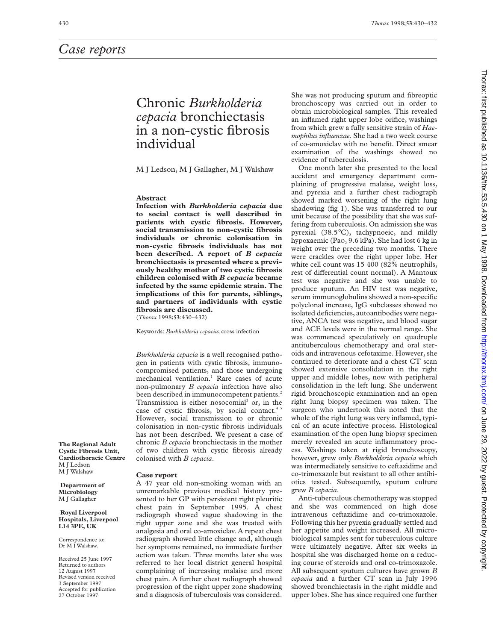# Chronic *Burkholderia cepacia* bronchiectasis in a non-cystic fibrosis individual

M J Ledson, M J Gallagher, M J Walshaw

# **Abstract**

**Infection with** *Burkholderia cepacia* **due to social contact is well described in patients with cystic fibrosis. However, social transmission to non-cystic fibrosis individuals or chronic colonisation in non-cystic fibrosis individuals has not been described. A report of** *B cepacia* **bronchiectasis is presented where a previously healthy mother of two cystic fibrosis children colonised with** *B cepacia* **became infected by the same epidemic strain. The implications of this for parents, siblings, and partners of individuals with cystic fibrosis are discussed.** (*Thorax* 1998;**53**:430–432)

Keywords: *Burkholderia cepacia*; cross infection

*Burkholderia cepacia* is a well recognised pathogen in patients with cystic fibrosis, immunocompromised patients, and those undergoing mechanical ventilation.<sup>1</sup> Rare cases of acute non-pulmonary *B cepacia* infection have also been described in immunocompetent patients.<sup>2</sup> Transmission is either nosocomial<sup>3</sup> or, in the case of cystic fibrosis, by social contact.<sup>4</sup> However, social transmission to or chronic colonisation in non-cystic fibrosis individuals has not been described. We present a case of chronic *B cepacia* bronchiectasis in the mother of two children with cystic fibrosis already colonised with *B cepacia*.

#### **Case report**

A 47 year old non-smoking woman with an unremarkable previous medical history presented to her GP with persistent right pleuritic chest pain in September 1995. A chest radiograph showed vague shadowing in the right upper zone and she was treated with analgesia and oral co-amoxiclav. A repeat chest radiograph showed little change and, although her symptoms remained, no immediate further action was taken. Three months later she was referred to her local district general hospital complaining of increasing malaise and more chest pain. A further chest radiograph showed progression of the right upper zone shadowing and a diagnosis of tuberculosis was considered.

She was not producing sputum and fibreoptic bronchoscopy was carried out in order to obtain microbiological samples. This revealed an inflamed right upper lobe orifice, washings from which grew a fully sensitive strain of *Haemophilus influenzae*. She had a two week course of co-amoxiclav with no benefit. Direct smear examination of the washings showed no evidence of tuberculosis.

One month later she presented to the local accident and emergency department complaining of progressive malaise, weight loss, and pyrexia and a further chest radiograph showed marked worsening of the right lung shadowing (fig 1). She was transferred to our unit because of the possibility that she was suffering from tuberculosis. On admission she was pyrexial (38.5°C), tachypnoeic, and mildly hypoxaemic (Pa $O<sub>2</sub>$  9.6 kPa). She had lost 6 kg in weight over the preceding two months. There were crackles over the right upper lobe. Her white cell count was 15 400 (82% neutrophils, rest of differential count normal). A Mantoux test was negative and she was unable to produce sputum. An HIV test was negative, serum immunoglobulins showed a non-specific polyclonal increase, IgG subclasses showed no isolated deficiencies, autoantibodies were negative, ANCA test was negative, and blood sugar and ACE levels were in the normal range. She was commenced speculatively on quadruple antituberculous chemotherapy and oral steroids and intravenous cefotaxime. However, she continued to deteriorate and a chest CT scan showed extensive consolidation in the right upper and middle lobes, now with peripheral consolidation in the left lung. She underwent rigid bronchoscopic examination and an open right lung biopsy specimen was taken. The surgeon who undertook this noted that the whole of the right lung was very inflamed, typical of an acute infective process. Histological examination of the open lung biopsy specimen merely revealed an acute inflammatory process. Washings taken at rigid bronchoscopy, however, grew only *Burkholderia cepacia* which was intermediately sensitive to ceftazidime and co-trimoxazole but resistant to all other antibiotics tested. Subsequently, sputum culture grew *B cepacia*.

Anti-tuberculous chemotherapy was stopped and she was commenced on high dose intravenous ceftazidime and co-trimoxazole. Following this her pyrexia gradually settled and her appetite and weight increased. All microbiological samples sent for tuberculous culture were ultimately negative. After six weeks in hospital she was discharged home on a reducing course of steroids and oral co-trimoxazole. All subsequent sputum cultures have grown *B cepacia* and a further CT scan in July 1996 showed bronchiectasis in the right middle and upper lobes. She has since required one further

**The Regional Adult Cystic Fibrosis Unit, Cardiothoracic Centre** M I Ledson M J Walshaw

**Department of Microbiology** M J Gallagher

#### **Royal Liverpool Hospitals, Liverpool L14 3PE, UK**

Correspondence to: Dr M J Walshaw.

Received 25 June 1997 Returned to authors 12 August 1997 Revised version received 3 September 1997 Accepted for publication 27 October 1997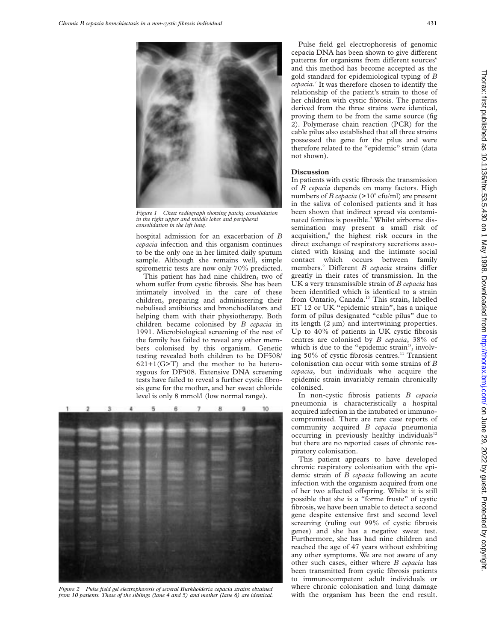



*Figure 1 Chest radiograph showing patchy consolidation in the right upper and middle lobes and peripheral consolidation in the left lung.*

hospital admission for an exacerbation of *B cepacia* infection and this organism continues to be the only one in her limited daily sputum sample. Although she remains well, simple spirometric tests are now only 70% predicted.

This patient has had nine children, two of whom suffer from cystic fibrosis. She has been intimately involved in the care of these children, preparing and administering their nebulised antibiotics and bronchodilators and helping them with their physiotherapy. Both children became colonised by *B cepacia* in 1991. Microbiological screening of the rest of the family has failed to reveal any other members colonised by this organism. Genetic testing revealed both children to be DF508/  $621+1(G>T)$  and the mother to be heterozygous for DF508. Extensive DNA screening tests have failed to reveal a further cystic fibrosis gene for the mother, and her sweat chloride level is only 8 mmol/l (low normal range).



*Figure 2 Pulse field gel electrophoresis of several Burkholderia cepacia strains obtained from 10 patients. Those of the siblings (lane 4 and 5) and mother (lane 6) are identical.*

Pulse field gel electrophoresis of genomic cepacia DNA has been shown to give different patterns for organisms from different sources<sup>6</sup> and this method has become accepted as the gold standard for epidemiological typing of *B cepacia*. <sup>7</sup> It was therefore chosen to identify the relationship of the patient's strain to those of her children with cystic fibrosis. The patterns derived from the three strains were identical, proving them to be from the same source (fig 2). Polymerase chain reaction (PCR) for the cable pilus also established that all three strains possessed the gene for the pilus and were therefore related to the "epidemic" strain (data not shown).

# **Discussion**

In patients with cystic fibrosis the transmission of *B cepacia* depends on many factors. High numbers of *B cepacia* ( $>10^8$  cfu/ml) are present in the saliva of colonised patients and it has been shown that indirect spread via contaminated fomites is possible.<sup>3</sup> Whilst airborne dissemination may present a small risk of acquisition,<sup>8</sup> the highest risk occurs in the direct exchange of respiratory secretions associated with kissing and the intimate social contact which occurs between family members.<sup>9</sup> Different *B cepacia* strains differ greatly in their rates of transmission. In the UK a very transmissible strain of *B cepacia* has been identified which is identical to a strain from Ontario, Canada.<sup>10</sup> This strain, labelled ET 12 or UK "epidemic strain", has a unique form of pilus designated "cable pilus" due to its length (2 µm) and intertwining properties. Up to 40% of patients in UK cystic fibrosis centres are colonised by *B cepacia*, 38% of which is due to the "epidemic strain", involving 50% of cystic fibrosis centres.<sup>11</sup> Transient colonisation can occur with some strains of *B cepacia*, but individuals who acquire the epidemic strain invariably remain chronically colonised.

In non-cystic fibrosis patients *B cepacia* pneumonia is characteristically a hospital acquired infection in the intubated or immunocompromised. There are rare case reports of community acquired *B cepacia* pneumonia occurring in previously healthy individuals<sup>12</sup> but there are no reported cases of chronic respiratory colonisation.

This patient appears to have developed chronic respiratory colonisation with the epidemic strain of *B cepacia* following an acute infection with the organism acquired from one of her two affected offspring. Whilst it is still possible that she is a "forme fruste" of cystic fibrosis, we have been unable to detect a second gene despite extensive first and second level screening (ruling out 99% of cystic fibrosis genes) and she has a negative sweat test. Furthermore, she has had nine children and reached the age of 47 years without exhibiting any other symptoms. We are not aware of any other such cases, either where *B cepacia* has been transmitted from cystic fibrosis patients to immunocompetent adult individuals or where chronic colonisation and lung damage with the organism has been the end result.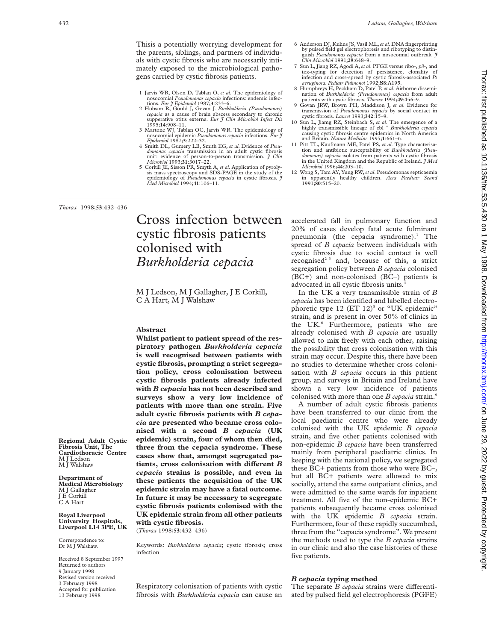Thisis a potentially worrying development for the parents, siblings, and partners of individuals with cystic fibrosis who are necessarily intimately exposed to the microbiological pathogens carried by cystic fibrosis patients.

- 1 Jarvis WR, Olson D, Tablan O, *et al*. The epidemiology of nosocomial *Pseudomonas cepacia* infections: endemic infec-
- tions. *Eur J Epidemiol* 1987;**3**:233–6. 2 Hobson R, Gould J, Govan J. *Burkholderia (Pseudomonas) cepacia* as a cause of brain abscess secondary to chronic supperative otitis externa. *Eur J Clin Microbiol Infect Dis*<br>1995**:14**:908–11.
- 3 Martone WJ, Tablan OC, Jarvis WR. The epidemiology of nosocomial epidemic *Pseudomonas cepacia* infections. *Eur J Epidemiol* 1987;**3**:222–32.
- 4 Smith DL, Gumery LB, Smith EG, *et al*. Evidence of *Pseu-domonas cepacia* transmission in an adult cystic fibrosis unit: evidence of person-to-person transmission. *J Clin Microbiol* 1993;**31**:3017–22.
- 5 Corkill JE, Sisson PR, Smyth A, *et al*. Application of pyroly-sis mass spectroscopy and SDS-PAGE in the study of the epidemiology of *Pseudomonas cepacia* in cystic fibrosis. *J Med Microbiol* 1994;**41**:106–11.
- 6 Anderson DJ, Kuhns JS, Vasil ML,*et al*. DNA fingerprinting by pulsed field gel electrophoresis and ribotyping to distinguish *Pseudomonas cepacia* from a nosocomial outbreak. *J Clin Microbiol* 1991;**29**:648–9.
- 7 Sun L, Jiang RZ, Agodi A,*et al*. PFGE versus ribo-, *pil*-, and tox-typing for detection of persistence, clonality of infection and cross-spread by cystic fibrosis-associated *Ps aeruginosa. Pediatr Pulmonol* 1992;**S8**:A195.
- 8 Humphreys H, Peckham D, Patel P, *et al*. Airborne dissemination of *Burkholderia (Pseudomonas) cepacia* from adult patients with cystic fibrosis. *Thorax* 1994;**49**:456–9.
- 9 Govan JRW, Brown PH, Maddison J, *et al*. Evidence for transmission of *Pseudomonas cepacia* by social contact in
- cystic fibrosis. *Lancet* 1993;**342**:15–9. 10 Sun L, Jiamg RZ, Steinbach S, *et al*. The emergence of a highly transmissible lineage of cbl <sup>+</sup> *Burkholderia cepacia* causing cystic fibrosis centre epidemics in North America and Britain. *Nature Medicine* 1995;**1**:661–6.
- 11 Pitt TL, Kaufmann ME, Patel PS, *et al*. Type characterisa-tion and antibiotic susceptability of *Burkholderia (Pseudomonas) cepacia* isolates from patients with cystic fibrosis in the United Kingdom and the Republic of Ireland. *J Med Microbiol* 1996;**44**:203–10.
- 12 Wong S, Tam AY, Yung RW,*et al*. Pseudomonas septicaemia in apparently healthy children. *Acta Paediatr Scand* 1991;**80**:515–20.

*Thorax* 1998;**53**:432–436

# Cross infection between cystic fibrosis patients colonised with *Burkholderia cepacia*

M J Ledson, M J Gallagher, J E Corkill, C A Hart, M J Walshaw

## **Abstract**

**Whilst patient to patient spread of the respiratory pathogen** *Burkholderia cepacia* **is well recognised between patients with cystic fibrosis, prompting a strict segregation policy, cross colonisation between cystic fibrosis patients already infected with** *B cepacia* **has not been described and surveys show a very low incidence of patients with more than one strain. Five adult cystic fibrosis patients with** *B cepacia* **are presented who became cross colonised with a second** *B cepacia* **(UK epidemic) strain, four of whom then died, three from the cepacia syndrome. These cases show that, amongst segregated pa**tients, cross colonisation with different *B cepacia* **strains is possible, and even in these patients the acquisition of the UK epidemic strain may have a fatal outcome. In future it may be necessary to segregate cystic fibrosis patients colonised with the UK epidemic strain from all other patients with cystic fibrosis.** (*Thorax* 1998;**53**:432–436)

Keywords: *Burkholderia cepacia*; cystic fibrosis; cross infection

Respiratory colonisation of patients with cystic fibrosis with *Burkholderia cepacia* can cause an

# accelerated fall in pulmonary function and 20% of cases develop fatal acute fulminant pneumonia (the cepacia syndrome). $<sup>1</sup>$  The</sup> spread of *B cepacia* between individuals with cystic fibrosis due to social contact is well recognised<sup>23</sup> and, because of this, a strict segregation policy between *B cepacia* colonised (BC+) and non-colonised (BC–) patients is advocated in all cystic fibrosis units.4

In the UK a very transmissible strain of *B cepacia* has been identified and labelled electrophoretic type  $12$  (ET  $12$ )<sup>5</sup> or "UK epidemic" strain, and is present in over 50% of clinics in the UK.<sup>6</sup> Furthermore, patients who are already colonised with *B cepacia* are usually allowed to mix freely with each other, raising the possibility that cross colonisation with this strain may occur. Despite this, there have been no studies to determine whether cross colonisation with *B cepacia* occurs in this patient group, and surveys in Britain and Ireland have shown a very low incidence of patients colonised with more than one *B cepacia* strain.6

A number of adult cystic fibrosis patients have been transferred to our clinic from the local paediatric centre who were already colonised with the UK epidemic *B cepacia* strain, and five other patients colonised with non-epidemic *B cepacia* have been transferred mainly from peripheral paediatric clinics. In keeping with the national policy, we segregated these BC+ patients from those who were BC–, but all BC+ patients were allowed to mix socially, attend the same outpatient clinics, and were admitted to the same wards for inpatient treatment. All five of the non-epidemic BC+ patients subsequently became cross colonised with the UK epidemic *B cepacia* strain. Furthermore, four of these rapidly succumbed, three from the "cepacia syndrome". We present the methods used to type the *B cepacia* strains in our clinic and also the case histories of these five patients.

# *B cepacia* **typing method**

The separate *B cepacia* strains were differentiated by pulsed field gel electrophoresis (PGFE)

#### **Regional Adult Cystic Fibrosis Unit, The Cardiothoracic Centre** M J Ledson M J Walshaw

**Department of Medical Microbiology** M J Gallagher J E Corkill C A Hart

**Royal Liverpool University Hospitals, Liverpool L14 3PE, UK**

Correspondence to: Dr M J Walshaw.

Received 8 September 1997 Returned to authors 9 January 1998 Revised version received 3 February 1998 Accepted for publication 13 February 1998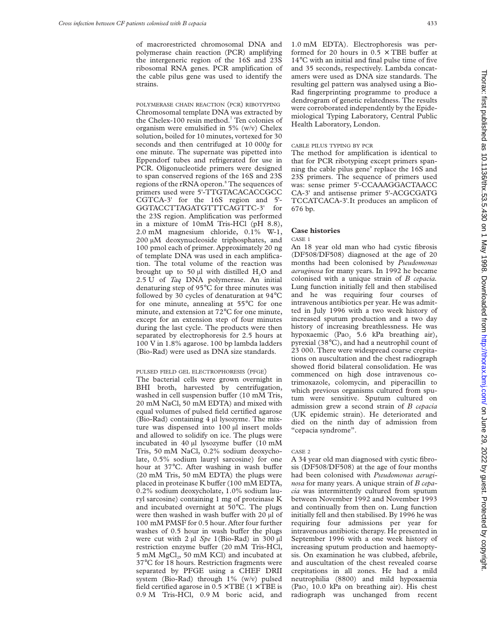of macrorestricted chromosomal DNA and polymerase chain reaction (PCR) amplifying the intergeneric region of the 16S and 23S ribosomal RNA genes. PCR amplification of the cable pilus gene was used to identify the strains.

POLYMERASE CHAIN REACTION (PCR) RIBOTYPING Chromosomal template DNA was extracted by the Chelex-100 resin method.<sup>7</sup> Ten colonies of organism were emulsified in 5% (w/v) Chelex solution, boiled for 10 minutes, vortexed for 30 seconds and then centrifuged at 10 000*g* for one minute. The supernate was pipetted into Eppendorf tubes and refrigerated for use in PCR. Oligonucleotide primers were designed to span conserved regions of the 16S and 23S regions of the rRNA operon.<sup>8</sup> The sequences of primers used were 5'-TTGTACACACCGCC CGTCA-3' for the 16S region and 5'- GGTACCTTAGATGTTTCAGTTC-3' for the 23S region. Amplification was performed in a mixture of 10mM Tris-HCl (pH 8.8), 2.0 mM magnesium chloride, 0.1% W-1, 200 µM deoxynucleoside triphosphates, and 100 pmol each of primer. Approximately 20 ng of template DNA was used in each amplification. The total volume of the reaction was brought up to 50 µl with distilled H<sub>2</sub>O and 2.5 U of *Taq* DNA polymerase. An initial denaturing step of 95°C for three minutes was followed by 30 cycles of denaturation at 94°C for one minute, annealing at 55°C for one minute, and extension at 72°C for one minute, except for an extension step of four minutes during the last cycle. The products were then separated by electrophoresis for 2.5 hours at 100 V in 1.8% agarose. 100 bp lambda ladders (Bio-Rad) were used as DNA size standards.

#### PULSED FIELD GEL ELECTROPHORESIS (PFGE)

The bacterial cells were grown overnight in BHI broth, harvested by centrifugation, washed in cell suspension buffer (10 mM Tris, 20 mM NaCl, 50 mM EDTA) and mixed with equal volumes of pulsed field certified agarose (Bio-Rad) containing 4 µl lysozyme. The mixture was dispensed into 100 µl insert molds and allowed to solidify on ice. The plugs were incubated in  $40 \mu$ l lysozyme buffer (10 mM Tris, 50 mM NaCl, 0.2% sodium deoxycholate, 0.5% sodium lauryl sarcosine) for one hour at 37°C. After washing in wash buffer (20 mM Tris, 50 mM EDTA) the plugs were placed in proteinase K buffer (100 mM EDTA, 0.2% sodium deoxycholate, 1.0% sodium lauryl sarcosine) containing 1 mg of proteinase K and incubated overnight at 50°C. The plugs were then washed in wash buffer with 20 µl of 100 mM PMSF for 0.5 hour. After four further washes of  $0.5$  hour in wash buffer the plugs were cut with 2 µl *Spe* 1(Bio-Rad) in 300 µl restriction enzyme buffer (20 mM Tris-HCl, 5 mM MgCl<sub>2</sub>, 50 mM KCl) and incubated at 37°C for 18 hours. Restriction fragments were separated by PFGE using a CHEF DRII system (Bio-Rad) through 1% (w/v) pulsed field certified agarose in  $0.5 \times \text{TBE}$  ( $1 \times \text{TBE}$  is 0.9 M Tris-HCl, 0.9 M boric acid, and

1.0 mM EDTA). Electrophoresis was performed for 20 hours in  $0.5 \times \text{TBE}$  buffer at 14°C with an initial and final pulse time of five and 35 seconds, respectively. Lambda concatamers were used as DNA size standards. The resulting gel pattern was analysed using a Bio-Rad fingerprinting programme to produce a dendrogram of genetic relatedness. The results were corroborated independently by the Epidemiological Typing Laboratory, Central Public Health Laboratory, London.

# CABLE PILUS TYPING BY PCR

The method for amplification is identical to that for PCR ribotyping except primers spanning the cable pilus gene<sup>9</sup> replace the 16S and 23S primers. The sequence of primers used was: sense primer 5'-CCAAAGGACTAACC CA-3' and antisense primer 5'-ACGCGATG TCCATCACA-3'*.*It produces an amplicon of 676 bp.

# **Case histories**

#### CASE 1

An 18 year old man who had cystic fibrosis (DF508/DF508) diagnosed at the age of 20 months had been colonised by *Pseudomonas aeruginosa* for many years. In 1992 he became colonised with a unique strain of *B cepacia.* Lung function initially fell and then stabilised and he was requiring four courses of intravenous antibiotics per year. He was admitted in July 1996 with a two week history of increased sputum production and a two day history of increasing breathlessness. He was hypoxaemic (Pao<sub>2</sub> 5.6 kPa breathing air), pyrexial (38°C), and had a neutrophil count of 23 000. There were widespread coarse crepitations on auscultation and the chest radiograph showed florid bilateral consolidation. He was commenced on high dose intravenous cotrimoxazole, colomycin, and piperacillin to which previous organisms cultured from sputum were sensitive. Sputum cultured on admission grew a second strain of *B cepacia* (UK epidemic strain). He deteriorated and died on the ninth day of admission from "cepacia syndrome".

#### CASE 2

A 34 year old man diagnosed with cystic fibrosis (DF508/DF508) at the age of four months had been colonised with *Pseudomonas aeruginosa* for many years. A unique strain of *B cepacia* was intermittently cultured from sputum between November 1992 and November 1993 and continually from then on. Lung function initially fell and then stabilised. By 1996 he was requiring four admissions per year for intravenous antibiotic therapy. He presented in September 1996 with a one week history of increasing sputum production and haemoptysis. On examination he was clubbed, afebrile, and auscultation of the chest revealed coarse crepitations in all zones. He had a mild neutrophilia (8800) and mild hypoxaemia (Pa $o<sub>2</sub>$  10.0 kPa on breathing air). His chest radiograph was unchanged from recent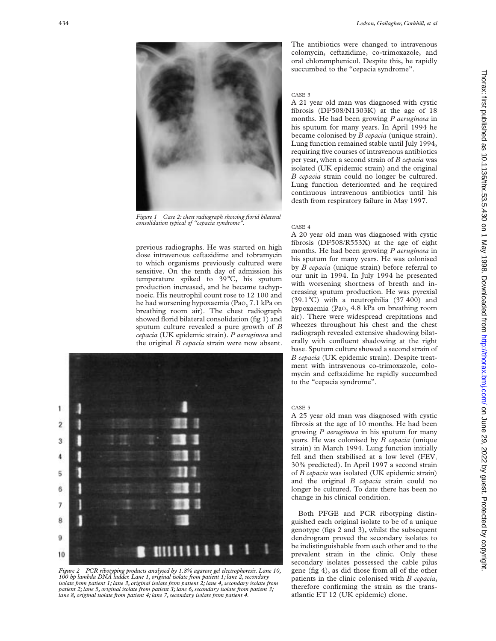

*Figure 1 Case 2: chest radiograph showing florid bilateral consolidation typical of "cepacia syndrome".*

previous radiographs. He was started on high dose intravenous ceftazidime and tobramycin to which organisms previously cultured were sensitive. On the tenth day of admission his temperature spiked to 39°C, his sputum production increased, and he became tachypnoeic. His neutrophil count rose to 12 100 and he had worsening hypoxaemia (Pao<sub>2</sub> 7.1 kPa on breathing room air). The chest radiograph showed florid bilateral consolidation (fig 1) and sputum culture revealed a pure growth of *B cepacia* (UK epidemic strain). *P aeruginosa* and the original *B cepacia* strain were now absent.



*Figure 2 PCR ribotyping products analysed by 1.8% agarose gel electrophoresis. Lane 10, 100 bp lambda DNA ladder. Lane 1, original isolate from patient 1; lane 2, secondary isolate from patient 1; lane 3, original isolate from patient 2; lane 4, secondary isolate from patient 2; lane 5, original isolate from patient 3; lane 6, secondary isolate from patient 3; lane 8, original isolate from patient 4; lane 7, secondary isolate from patient 4.*

The antibiotics were changed to intravenous colomycin, ceftazidime, co-trimoxazole, and oral chloramphenicol. Despite this, he rapidly succumbed to the "cepacia syndrome".

# CASE 3

A 21 year old man was diagnosed with cystic fibrosis (DF508/N1303K) at the age of 18 months. He had been growing *P aeruginosa* in his sputum for many years. In April 1994 he became colonised by *B cepacia* (unique strain). Lung function remained stable until July 1994, requiring five courses of intravenous antibiotics per year, when a second strain of *B cepacia* was isolated (UK epidemic strain) and the original *B cepacia* strain could no longer be cultured. Lung function deteriorated and he required continuous intravenous antibiotics until his death from respiratory failure in May 1997.

### CASE 4

A 20 year old man was diagnosed with cystic fibrosis (DF508/R553X) at the age of eight months. He had been growing *P aeruginosa* in his sputum for many years. He was colonised by *B cepacia* (unique strain) before referral to our unit in 1994. In July 1994 he presented with worsening shortness of breath and increasing sputum production. He was pyrexial (39.1°C) with a neutrophilia (37 400) and hypoxaemia (Pao, 4.8 kPa on breathing room air). There were widespread crepitations and wheezes throughout his chest and the chest radiograph revealed extensive shadowing bilaterally with confluent shadowing at the right base. Sputum culture showed a second strain of *B cepacia* (UK epidemic strain). Despite treatment with intravenous co-trimoxazole, colomycin and ceftazidime he rapidly succumbed to the "cepacia syndrome".

#### CASE 5

A 25 year old man was diagnosed with cystic fibrosis at the age of 10 months. He had been growing *P aeruginosa* in his sputum for many years. He was colonised by *B cepacia* (unique strain) in March 1994. Lung function initially fell and then stabilised at a low level  $(FEV<sub>1</sub>)$ 30% predicted). In April 1997 a second strain of *B cepacia* was isolated (UK epidemic strain) and the original *B cepacia* strain could no longer be cultured. To date there has been no change in his clinical condition.

Both PFGE and PCR ribotyping distinguished each original isolate to be of a unique genotype (figs 2 and 3), whilst the subsequent dendrogram proved the secondary isolates to be indistinguishable from each other and to the prevalent strain in the clinic. Only these secondary isolates possessed the cable pilus gene (fig 4), as did those from all of the other patients in the clinic colonised with *B cepacia*, therefore confirming the strain as the transatlantic ET 12 (UK epidemic) clone.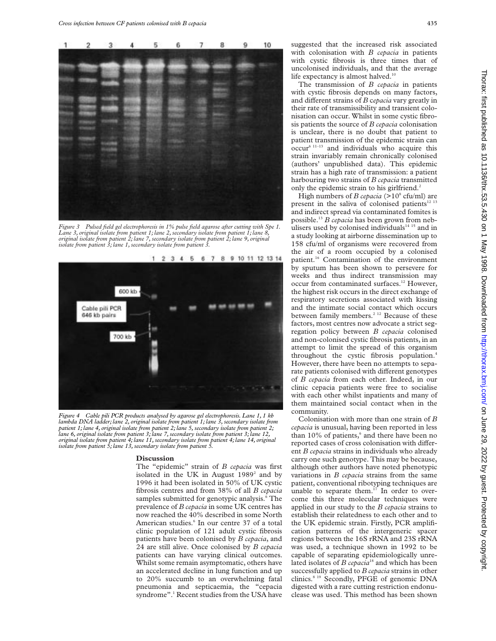

*Figure 3 Pulsed field gel electrophoresis in 1% pulse field agarose after cutting with Spe 1. Lane 3, original isolate from patient 1; lane 2, secondary isolate from patient 1; lane 8, original isolate from patient 2; lane 7, secondary isolate from patient 2; lane 9, original isolate from patient 3; lane 1, secondary isolate from patient 3.*



*Figure 4 Cable pili PCR products analysed by agarose gel electrophoresis. Lane 1, 1 kb lambda DNA ladder; lane 2, original isolate from patient 1; lane 3, secondary isolate from patient 1; lane 4, original isolate from patient 2; lane 5, secondary isolate from patient 2; lane 6, original isolate from patient 3; lane 7, secondary isolate from patient 3; lane 12, original isolate from patient 4; lane 11, secondary isolate from patient 4; lane 14, original isolate from patient 5; lane 13, secondary isolate from patient 5.*

#### **Discussion**

The "epidemic" strain of *B cepacia* was first isolated in the UK in August  $1989^2$  and by 1996 it had been isolated in 50% of UK cystic fibrosis centres and from 38% of all *B cepacia* samples submitted for genotypic analysis.<sup>6</sup> The prevalence of *B cepacia* in some UK centres has now reached the 40% described in some North American studies.<sup>6</sup> In our centre 37 of a total clinic population of 121 adult cystic fibrosis patients have been colonised by *B cepacia*, and 24 are still alive. Once colonised by *B cepacia* patients can have varying clinical outcomes. Whilst some remain asymptomatic, others have an accelerated decline in lung function and up to 20% succumb to an overwhelming fatal pneumonia and septicaemia, the "cepacia syndrome".<sup>1</sup> Recent studies from the USA have

suggested that the increased risk associated with colonisation with *B cepacia* in patients with cystic fibrosis is three times that of uncolonised individuals, and that the average life expectancy is almost halved.<sup>10</sup>

The transmission of *B cepacia* in patients with cystic fibrosis depends on many factors, and different strains of *B* cepacia vary greatly in their rate of transmissibility and transient colonisation can occur. Whilst in some cystic fibrosis patients the source of *B cepacia* colonisation is unclear, there is no doubt that patient to patient transmission of the epidemic strain can  $\text{occur}^6$ <sup>11-13</sup> and individuals who acquire this strain invariably remain chronically colonised (authors' unpublished data). This epidemic strain has a high rate of transmission: a patient harbouring two strains of *B cepacia* transmitted only the epidemic strain to his girlfriend.<sup>2</sup>

High numbers of *B cepacia* ( $>10^8$  cfu/ml) are present in the saliva of colonised patients<sup>12</sup><sup>13</sup> and indirect spread via contaminated fomites is possible.13 *B cepacia* has been grown from nebulisers used by colonised individuals $14$  15 and in a study looking at airborne dissemination up to 158 cfu/ml of organisms were recovered from the air of a room occupied by a colonised patient.<sup>16</sup> Contamination of the environment by sputum has been shown to persevere for weeks and thus indirect transmission may occur from contaminated surfaces.<sup>12</sup> However, the highest risk occurs in the direct exchange of respiratory secretions associated with kissing and the intimate social contact which occurs between family members.<sup>2 12</sup> Because of these factors, most centres now advocate a strict segregation policy between *B cepacia* colonised and non-colonised cystic fibrosis patients, in an attempt to limit the spread of this organism throughout the cystic fibrosis population.4 However, there have been no attempts to separate patients colonised with different genotypes of *B cepacia* from each other. Indeed, in our clinic cepacia patients were free to socialise with each other whilst inpatients and many of them maintained social contact when in the community.

Colonisation with more than one strain of *B cepacia* is unusual, having been reported in less than  $10\%$  of patients, $6$  and there have been no reported cases of cross colonisation with different *B cepacia* strains in individuals who already carry one such genotype. This may be because, although other authors have noted phenotypic variations in *B cepacia* strains from the same patient, conventional ribotyping techniques are unable to separate them.<sup>17</sup> In order to overcome this three molecular techniques were applied in our study to the *B cepacia* strains to establish their relatedness to each other and to the UK epidemic strain. Firstly, PCR amplification patterns of the intergeneric spacer regions between the 16S rRNA and 23S rRNA was used, a technique shown in 1992 to be capable of separating epidemiologically unrelated isolates of *B cepacia*<sup>18</sup> and which has been successfully applied to *B cepacia* strains in other clinics.8 19 Secondly, PFGE of genomic DNA digested with a rare cutting restriction endonuclease was used. This method has been shown